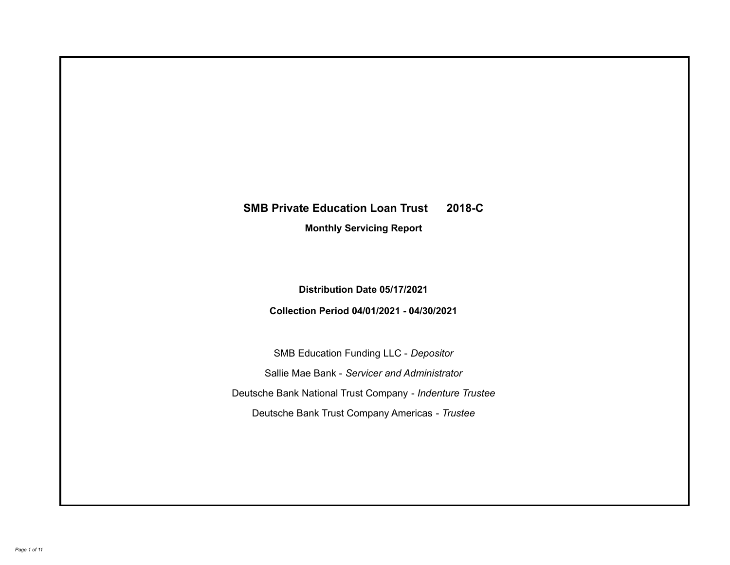# **SMB Private Education Loan Trust 2018-C**

**Monthly Servicing Report**

**Distribution Date 05/17/2021**

**Collection Period 04/01/2021 - 04/30/2021**

SMB Education Funding LLC - *Depositor* Sallie Mae Bank - *Servicer and Administrator* Deutsche Bank National Trust Company - *Indenture Trustee* Deutsche Bank Trust Company Americas - *Trustee*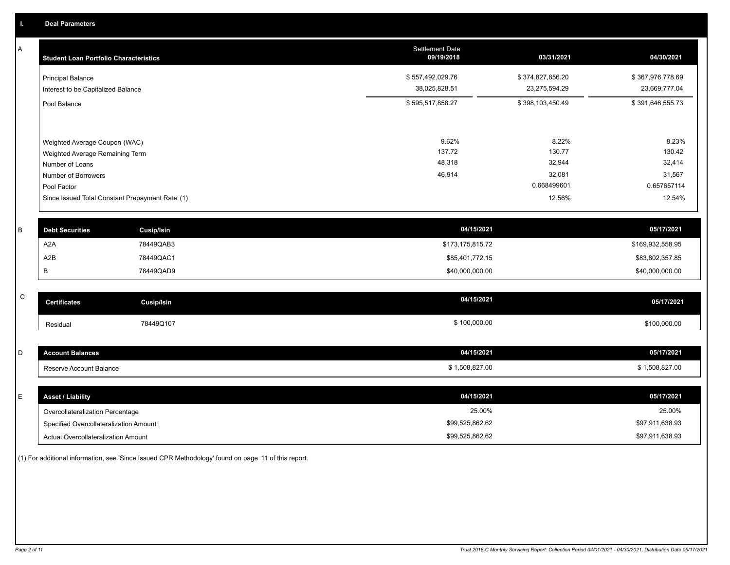A

| A           | <b>Student Loan Portfolio Characteristics</b>   |                   | <b>Settlement Date</b><br>09/19/2018 | 03/31/2021       | 04/30/2021       |
|-------------|-------------------------------------------------|-------------------|--------------------------------------|------------------|------------------|
|             | <b>Principal Balance</b>                        |                   | \$557,492,029.76                     | \$374,827,856.20 | \$367,976,778.69 |
|             | Interest to be Capitalized Balance              |                   | 38,025,828.51                        | 23,275,594.29    | 23,669,777.04    |
|             | Pool Balance                                    |                   | \$595,517,858.27                     | \$398,103,450.49 | \$391,646,555.73 |
|             |                                                 |                   |                                      |                  |                  |
|             | Weighted Average Coupon (WAC)                   |                   | 9.62%                                | 8.22%            | 8.23%            |
|             | Weighted Average Remaining Term                 |                   | 137.72                               | 130.77           | 130.42           |
|             | Number of Loans                                 |                   | 48,318                               | 32,944           | 32,414           |
|             | Number of Borrowers                             |                   | 46,914                               | 32,081           | 31,567           |
|             | Pool Factor                                     |                   |                                      | 0.668499601      | 0.657657114      |
|             | Since Issued Total Constant Prepayment Rate (1) |                   |                                      | 12.56%           | 12.54%           |
| B           | <b>Debt Securities</b>                          | <b>Cusip/Isin</b> | 04/15/2021                           |                  | 05/17/2021       |
|             | A2A                                             | 78449QAB3         | \$173,175,815.72                     |                  | \$169,932,558.95 |
|             |                                                 |                   |                                      |                  |                  |
|             | A <sub>2</sub> B                                | 78449QAC1         | \$85,401,772.15                      |                  | \$83,802,357.85  |
|             | B                                               | 78449QAD9         | \$40,000,000.00                      |                  | \$40,000,000.00  |
| $\mathsf C$ |                                                 |                   |                                      |                  |                  |
|             | <b>Certificates</b>                             | <b>Cusip/Isin</b> | 04/15/2021                           |                  | 05/17/2021       |
|             | Residual                                        | 78449Q107         | \$100,000.00                         |                  | \$100,000.00     |
|             |                                                 |                   |                                      |                  |                  |
| D           | <b>Account Balances</b>                         |                   | 04/15/2021                           |                  | 05/17/2021       |
|             | Reserve Account Balance                         |                   | \$1,508,827.00                       |                  | \$1,508,827.00   |
|             |                                                 |                   |                                      |                  |                  |

| <b>Asset / Liability</b>               | 04/15/2021      | 05/17/2021      |
|----------------------------------------|-----------------|-----------------|
| Overcollateralization Percentage       | 25.00%          | 25.00%          |
| Specified Overcollateralization Amount | \$99,525,862.62 | \$97,911,638.93 |
| Actual Overcollateralization Amount    | \$99,525,862.62 | \$97,911,638.93 |

(1) For additional information, see 'Since Issued CPR Methodology' found on page 11 of this report.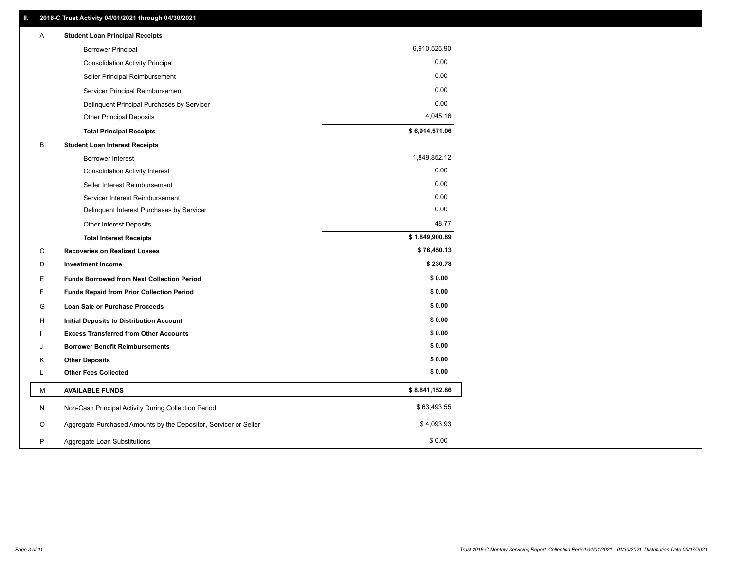| Α | <b>Student Loan Principal Receipts</b>                           |                |
|---|------------------------------------------------------------------|----------------|
|   | <b>Borrower Principal</b>                                        | 6,910,525.90   |
|   | <b>Consolidation Activity Principal</b>                          | 0.00           |
|   | Seller Principal Reimbursement                                   | 0.00           |
|   | Servicer Principal Reimbursement                                 | 0.00           |
|   | Delinquent Principal Purchases by Servicer                       | 0.00           |
|   | <b>Other Principal Deposits</b>                                  | 4,045.16       |
|   | <b>Total Principal Receipts</b>                                  | \$6,914,571.06 |
| В | <b>Student Loan Interest Receipts</b>                            |                |
|   | <b>Borrower Interest</b>                                         | 1,849,852.12   |
|   | <b>Consolidation Activity Interest</b>                           | 0.00           |
|   | Seller Interest Reimbursement                                    | 0.00           |
|   | Servicer Interest Reimbursement                                  | 0.00           |
|   | Delinquent Interest Purchases by Servicer                        | 0.00           |
|   | Other Interest Deposits                                          | 48.77          |
|   | <b>Total Interest Receipts</b>                                   | \$1,849,900.89 |
| C | <b>Recoveries on Realized Losses</b>                             | \$76,450.13    |
| D | <b>Investment Income</b>                                         | \$230.78       |
| E | <b>Funds Borrowed from Next Collection Period</b>                | \$0.00         |
| F | <b>Funds Repaid from Prior Collection Period</b>                 | \$0.00         |
| G | <b>Loan Sale or Purchase Proceeds</b>                            | \$0.00         |
| н | Initial Deposits to Distribution Account                         | \$0.00         |
|   | <b>Excess Transferred from Other Accounts</b>                    | \$0.00         |
| J | <b>Borrower Benefit Reimbursements</b>                           | \$0.00         |
| Κ | <b>Other Deposits</b>                                            | \$0.00         |
| Г | <b>Other Fees Collected</b>                                      | \$0.00         |
| М | <b>AVAILABLE FUNDS</b>                                           | \$8,841,152.86 |
| N | Non-Cash Principal Activity During Collection Period             | \$63,493.55    |
| O | Aggregate Purchased Amounts by the Depositor, Servicer or Seller | \$4,093.93     |
| P | Aggregate Loan Substitutions                                     | \$0.00         |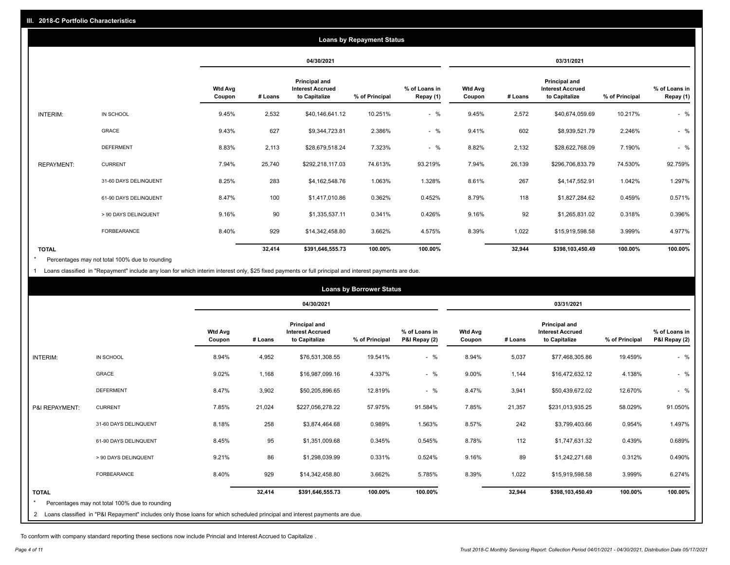|                   |                       | <b>Loans by Repayment Status</b> |            |                                                           |                |                            |                          |         |                                                           |                |                            |
|-------------------|-----------------------|----------------------------------|------------|-----------------------------------------------------------|----------------|----------------------------|--------------------------|---------|-----------------------------------------------------------|----------------|----------------------------|
|                   |                       |                                  | 04/30/2021 |                                                           |                | 03/31/2021                 |                          |         |                                                           |                |                            |
|                   |                       | <b>Wtd Avg</b><br>Coupon         | # Loans    | Principal and<br><b>Interest Accrued</b><br>to Capitalize | % of Principal | % of Loans in<br>Repay (1) | <b>Wtd Avg</b><br>Coupon | # Loans | Principal and<br><b>Interest Accrued</b><br>to Capitalize | % of Principal | % of Loans in<br>Repay (1) |
| INTERIM:          | IN SCHOOL             | 9.45%                            | 2,532      | \$40,146,641.12                                           | 10.251%        | $-$ %                      | 9.45%                    | 2,572   | \$40,674,059.69                                           | 10.217%        | $-$ %                      |
|                   | GRACE                 | 9.43%                            | 627        | \$9,344,723.81                                            | 2.386%         | $-$ %                      | 9.41%                    | 602     | \$8,939,521.79                                            | 2.246%         | $-$ %                      |
|                   | <b>DEFERMENT</b>      | 8.83%                            | 2,113      | \$28,679,518.24                                           | 7.323%         | $-$ %                      | 8.82%                    | 2,132   | \$28,622,768.09                                           | 7.190%         | $-$ %                      |
| <b>REPAYMENT:</b> | <b>CURRENT</b>        | 7.94%                            | 25,740     | \$292,218,117.03                                          | 74.613%        | 93.219%                    | 7.94%                    | 26,139  | \$296,706,833.79                                          | 74.530%        | 92.759%                    |
|                   | 31-60 DAYS DELINQUENT | 8.25%                            | 283        | \$4,162,548.76                                            | 1.063%         | 1.328%                     | 8.61%                    | 267     | \$4,147,552.91                                            | 1.042%         | 1.297%                     |
|                   | 61-90 DAYS DELINQUENT | 8.47%                            | 100        | \$1,417,010.86                                            | 0.362%         | 0.452%                     | 8.79%                    | 118     | \$1,827,284.62                                            | 0.459%         | 0.571%                     |
|                   | > 90 DAYS DELINQUENT  | 9.16%                            | 90         | \$1,335,537.11                                            | 0.341%         | 0.426%                     | 9.16%                    | 92      | \$1,265,831.02                                            | 0.318%         | 0.396%                     |
|                   | FORBEARANCE           | 8.40%                            | 929        | \$14,342,458.80                                           | 3.662%         | 4.575%                     | 8.39%                    | 1,022   | \$15,919,598.58                                           | 3.999%         | 4.977%                     |
| <b>TOTAL</b>      |                       |                                  | 32,414     | \$391,646,555.73                                          | 100.00%        | 100.00%                    |                          | 32,944  | \$398,103,450.49                                          | 100.00%        | 100.00%                    |

Percentages may not total 100% due to rounding \*

1 Loans classified in "Repayment" include any loan for which interim interest only, \$25 fixed payments or full principal and interest payments are due.

| <b>Loans by Borrower Status</b> |                                                                                                                              |                          |         |                                                                  |                |                                |                          |         |                                                                  |                |                                |
|---------------------------------|------------------------------------------------------------------------------------------------------------------------------|--------------------------|---------|------------------------------------------------------------------|----------------|--------------------------------|--------------------------|---------|------------------------------------------------------------------|----------------|--------------------------------|
|                                 |                                                                                                                              |                          |         | 04/30/2021                                                       |                |                                |                          |         | 03/31/2021                                                       |                |                                |
|                                 |                                                                                                                              | <b>Wtd Avg</b><br>Coupon | # Loans | <b>Principal and</b><br><b>Interest Accrued</b><br>to Capitalize | % of Principal | % of Loans in<br>P&I Repay (2) | <b>Wtd Avg</b><br>Coupon | # Loans | <b>Principal and</b><br><b>Interest Accrued</b><br>to Capitalize | % of Principal | % of Loans in<br>P&I Repay (2) |
| <b>INTERIM:</b>                 | IN SCHOOL                                                                                                                    | 8.94%                    | 4,952   | \$76,531,308.55                                                  | 19.541%        | $-$ %                          | 8.94%                    | 5,037   | \$77,468,305.86                                                  | 19.459%        | $-$ %                          |
|                                 | <b>GRACE</b>                                                                                                                 | 9.02%                    | 1,168   | \$16,987,099.16                                                  | 4.337%         | $-$ %                          | 9.00%                    | 1,144   | \$16,472,632.12                                                  | 4.138%         | $-$ %                          |
|                                 | <b>DEFERMENT</b>                                                                                                             | 8.47%                    | 3,902   | \$50,205,896.65                                                  | 12.819%        | $-$ %                          | 8.47%                    | 3,941   | \$50,439,672.02                                                  | 12.670%        | $-$ %                          |
| P&I REPAYMENT:                  | <b>CURRENT</b>                                                                                                               | 7.85%                    | 21,024  | \$227,056,278.22                                                 | 57.975%        | 91.584%                        | 7.85%                    | 21,357  | \$231,013,935.25                                                 | 58.029%        | 91.050%                        |
|                                 | 31-60 DAYS DELINQUENT                                                                                                        | 8.18%                    | 258     | \$3,874,464.68                                                   | 0.989%         | 1.563%                         | 8.57%                    | 242     | \$3,799,403.66                                                   | 0.954%         | 1.497%                         |
|                                 | 61-90 DAYS DELINQUENT                                                                                                        | 8.45%                    | 95      | \$1,351,009.68                                                   | 0.345%         | 0.545%                         | 8.78%                    | 112     | \$1,747,631.32                                                   | 0.439%         | 0.689%                         |
|                                 | > 90 DAYS DELINQUENT                                                                                                         | 9.21%                    | 86      | \$1,298,039.99                                                   | 0.331%         | 0.524%                         | 9.16%                    | 89      | \$1,242,271.68                                                   | 0.312%         | 0.490%                         |
|                                 | <b>FORBEARANCE</b>                                                                                                           | 8.40%                    | 929     | \$14,342,458.80                                                  | 3.662%         | 5.785%                         | 8.39%                    | 1,022   | \$15,919,598.58                                                  | 3.999%         | 6.274%                         |
| <b>TOTAL</b>                    | Percentages may not total 100% due to rounding                                                                               |                          | 32,414  | \$391,646,555.73                                                 | 100.00%        | 100.00%                        |                          | 32,944  | \$398,103,450.49                                                 | 100.00%        | 100.00%                        |
|                                 | 2 Loans classified in "P&I Repayment" includes only those loans for which scheduled principal and interest payments are due. |                          |         |                                                                  |                |                                |                          |         |                                                                  |                |                                |

To conform with company standard reporting these sections now include Princial and Interest Accrued to Capitalize .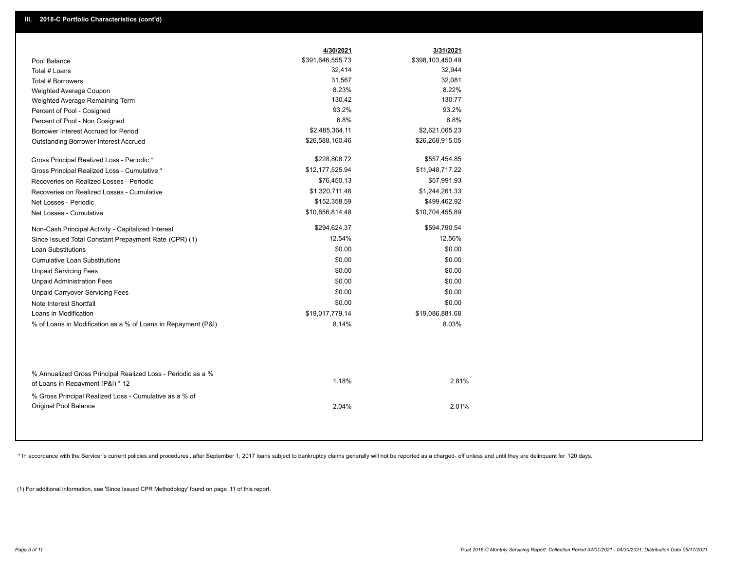|                                                                                                  | 4/30/2021        | 3/31/2021        |
|--------------------------------------------------------------------------------------------------|------------------|------------------|
| Pool Balance                                                                                     | \$391,646,555.73 | \$398,103,450.49 |
| Total # Loans                                                                                    | 32,414           | 32,944           |
| Total # Borrowers                                                                                | 31,567           | 32,081           |
| Weighted Average Coupon                                                                          | 8.23%            | 8.22%            |
| Weighted Average Remaining Term                                                                  | 130.42           | 130.77           |
| Percent of Pool - Cosigned                                                                       | 93.2%            | 93.2%            |
| Percent of Pool - Non Cosigned                                                                   | 6.8%             | 6.8%             |
| Borrower Interest Accrued for Period                                                             | \$2,485,364.11   | \$2,621,065.23   |
| Outstanding Borrower Interest Accrued                                                            | \$26,588,160.46  | \$26,268,915.05  |
| Gross Principal Realized Loss - Periodic *                                                       | \$228,808.72     | \$557,454.85     |
| Gross Principal Realized Loss - Cumulative *                                                     | \$12,177,525.94  | \$11,948,717.22  |
| Recoveries on Realized Losses - Periodic                                                         | \$76,450.13      | \$57,991.93      |
| Recoveries on Realized Losses - Cumulative                                                       | \$1,320,711.46   | \$1,244,261.33   |
| Net Losses - Periodic                                                                            | \$152,358.59     | \$499,462.92     |
| Net Losses - Cumulative                                                                          | \$10,856,814.48  | \$10,704,455.89  |
| Non-Cash Principal Activity - Capitalized Interest                                               | \$294,624.37     | \$594,790.54     |
| Since Issued Total Constant Prepayment Rate (CPR) (1)                                            | 12.54%           | 12.56%           |
| <b>Loan Substitutions</b>                                                                        | \$0.00           | \$0.00           |
| <b>Cumulative Loan Substitutions</b>                                                             | \$0.00           | \$0.00           |
| <b>Unpaid Servicing Fees</b>                                                                     | \$0.00           | \$0.00           |
| <b>Unpaid Administration Fees</b>                                                                | \$0.00           | \$0.00           |
| <b>Unpaid Carryover Servicing Fees</b>                                                           | \$0.00           | \$0.00           |
| Note Interest Shortfall                                                                          | \$0.00           | \$0.00           |
| Loans in Modification                                                                            | \$19,017,779.14  | \$19,086,881.68  |
| % of Loans in Modification as a % of Loans in Repayment (P&I)                                    | 8.14%            | 8.03%            |
| % Annualized Gross Principal Realized Loss - Periodic as a %<br>of Loans in Repayment (P&I) * 12 | 1.18%            | 2.81%            |
| % Gross Principal Realized Loss - Cumulative as a % of                                           |                  |                  |
| <b>Original Pool Balance</b>                                                                     | 2.04%            | 2.01%            |

\* In accordance with the Servicer's current policies and procedures, after September 1, 2017 loans subject to bankruptcy claims generally will not be reported as a charged- off unless and until they are delinquent for 120

(1) For additional information, see 'Since Issued CPR Methodology' found on page 11 of this report.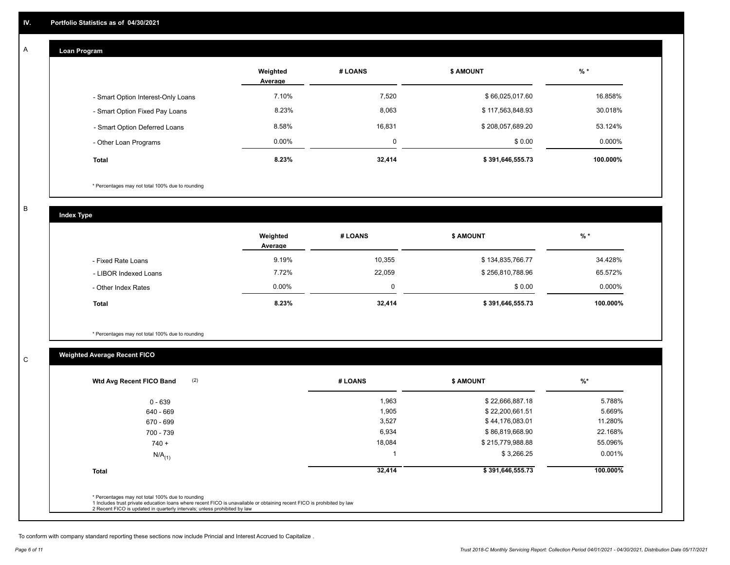## **Loan Program**

A

|                                    | Weighted<br>Average | # LOANS  | <b>\$ AMOUNT</b> | $%$ *     |
|------------------------------------|---------------------|----------|------------------|-----------|
| - Smart Option Interest-Only Loans | 7.10%               | 7,520    | \$66,025,017.60  | 16.858%   |
| - Smart Option Fixed Pay Loans     | 8.23%               | 8,063    | \$117,563,848.93 | 30.018%   |
| - Smart Option Deferred Loans      | 8.58%               | 16,831   | \$208,057,689.20 | 53.124%   |
| - Other Loan Programs              | $0.00\%$            | $\Omega$ | \$0.00           | $0.000\%$ |
| Total                              | 8.23%               | 32,414   | \$391,646,555.73 | 100.000%  |

\* Percentages may not total 100% due to rounding

B

C

**Index Type**

|                       | Weighted<br>Average | # LOANS | <b>S AMOUNT</b>  | % *       |
|-----------------------|---------------------|---------|------------------|-----------|
| - Fixed Rate Loans    | 9.19%               | 10,355  | \$134,835,766.77 | 34.428%   |
| - LIBOR Indexed Loans | 7.72%               | 22,059  | \$256,810,788.96 | 65.572%   |
| - Other Index Rates   | $0.00\%$            | 0       | \$0.00           | $0.000\%$ |
| <b>Total</b>          | 8.23%               | 32,414  | \$391,646,555.73 | 100.000%  |

\* Percentages may not total 100% due to rounding

# **Weighted Average Recent FICO**

| $0 - 639$            | 1,963  | \$22,666,887.18  | 5.788%   |
|----------------------|--------|------------------|----------|
| 640 - 669            | 1,905  | \$22,200,661.51  | 5.669%   |
| 670 - 699            | 3,527  | \$44,176,083.01  | 11.280%  |
| 700 - 739            | 6,934  | \$86,819,668.90  | 22.168%  |
| $740 +$              | 18,084 | \$215,779,988.88 | 55.096%  |
| $N/A$ <sub>(1)</sub> |        | \$3,266.25       | 0.001%   |
| <b>Total</b>         | 32,414 | \$391,646,555.73 | 100.000% |

To conform with company standard reporting these sections now include Princial and Interest Accrued to Capitalize .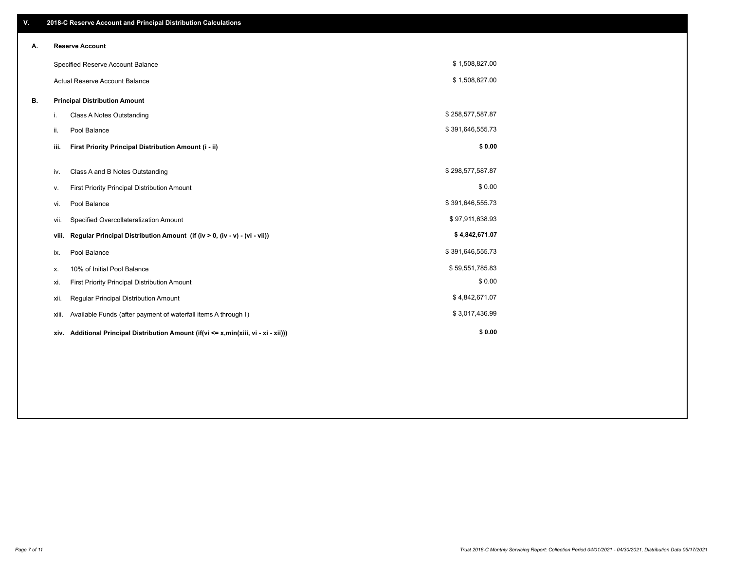| V. |       | 2018-C Reserve Account and Principal Distribution Calculations                       |                  |  |
|----|-------|--------------------------------------------------------------------------------------|------------------|--|
| А. |       | <b>Reserve Account</b>                                                               |                  |  |
|    |       | Specified Reserve Account Balance                                                    | \$1,508,827.00   |  |
|    |       | <b>Actual Reserve Account Balance</b>                                                | \$1,508,827.00   |  |
| В. |       | <b>Principal Distribution Amount</b>                                                 |                  |  |
|    | i.    | <b>Class A Notes Outstanding</b>                                                     | \$258,577,587.87 |  |
|    | ii.   | Pool Balance                                                                         | \$391,646,555.73 |  |
|    | iii.  | First Priority Principal Distribution Amount (i - ii)                                | \$0.00           |  |
|    | iv.   | Class A and B Notes Outstanding                                                      | \$298,577,587.87 |  |
|    | v.    | First Priority Principal Distribution Amount                                         | \$0.00           |  |
|    | vi.   | Pool Balance                                                                         | \$391,646,555.73 |  |
|    | vii.  | Specified Overcollateralization Amount                                               | \$97,911,638.93  |  |
|    | viii. | Regular Principal Distribution Amount (if (iv > 0, (iv - v) - (vi - vii))            | \$4,842,671.07   |  |
|    | ix.   | Pool Balance                                                                         | \$391,646,555.73 |  |
|    | х.    | 10% of Initial Pool Balance                                                          | \$59,551,785.83  |  |
|    | xi.   | First Priority Principal Distribution Amount                                         | \$0.00           |  |
|    | xii.  | Regular Principal Distribution Amount                                                | \$4,842,671.07   |  |
|    | xiii. | Available Funds (after payment of waterfall items A through I)                       | \$3,017,436.99   |  |
|    |       | xiv. Additional Principal Distribution Amount (if(vi <= x,min(xiii, vi - xi - xii))) | \$0.00           |  |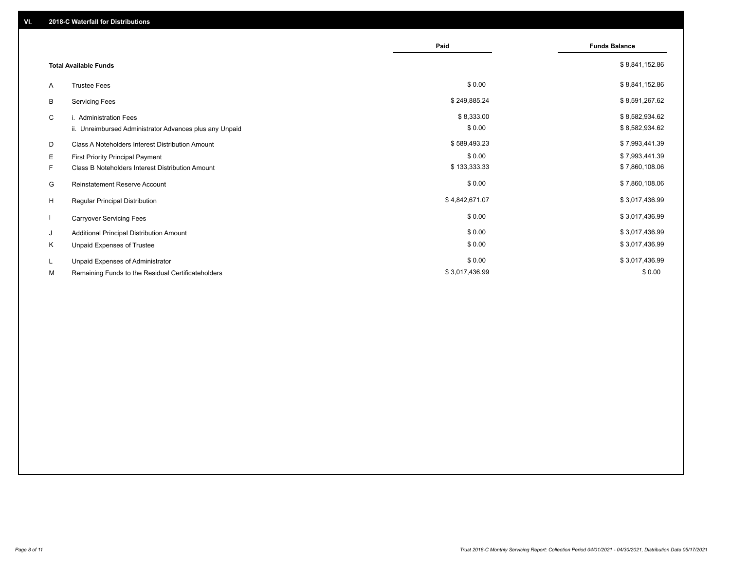|                              |                                                         | Paid           | <b>Funds Balance</b> |
|------------------------------|---------------------------------------------------------|----------------|----------------------|
| <b>Total Available Funds</b> |                                                         |                | \$8,841,152.86       |
| A                            | <b>Trustee Fees</b>                                     | \$0.00         | \$8,841,152.86       |
| В                            | <b>Servicing Fees</b>                                   | \$249,885.24   | \$8,591,267.62       |
| C                            | i. Administration Fees                                  | \$8,333.00     | \$8,582,934.62       |
|                              | ii. Unreimbursed Administrator Advances plus any Unpaid | \$0.00         | \$8,582,934.62       |
| D                            | Class A Noteholders Interest Distribution Amount        | \$589,493.23   | \$7,993,441.39       |
| E.                           | <b>First Priority Principal Payment</b>                 | \$0.00         | \$7,993,441.39       |
| F.                           | Class B Noteholders Interest Distribution Amount        | \$133,333.33   | \$7,860,108.06       |
| G                            | <b>Reinstatement Reserve Account</b>                    | \$0.00         | \$7,860,108.06       |
| H                            | Regular Principal Distribution                          | \$4,842,671.07 | \$3,017,436.99       |
|                              | <b>Carryover Servicing Fees</b>                         | \$0.00         | \$3,017,436.99       |
| J                            | Additional Principal Distribution Amount                | \$0.00         | \$3,017,436.99       |
| Κ                            | Unpaid Expenses of Trustee                              | \$0.00         | \$3,017,436.99       |
| L.                           | Unpaid Expenses of Administrator                        | \$0.00         | \$3,017,436.99       |
| М                            | Remaining Funds to the Residual Certificateholders      | \$3,017,436.99 | \$0.00               |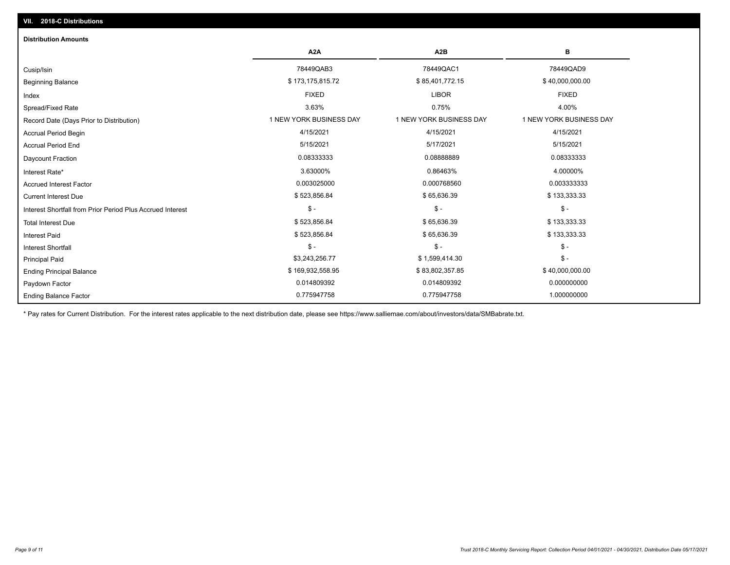| <b>Distribution Amounts</b>                                |                         |                         |                         |
|------------------------------------------------------------|-------------------------|-------------------------|-------------------------|
|                                                            | A <sub>2</sub> A        | A <sub>2</sub> B        | в                       |
| Cusip/Isin                                                 | 78449QAB3               | 78449QAC1               | 78449QAD9               |
| <b>Beginning Balance</b>                                   | \$173,175,815.72        | \$85,401,772.15         | \$40,000,000.00         |
| Index                                                      | <b>FIXED</b>            | <b>LIBOR</b>            | <b>FIXED</b>            |
| Spread/Fixed Rate                                          | 3.63%                   | 0.75%                   | 4.00%                   |
| Record Date (Days Prior to Distribution)                   | 1 NEW YORK BUSINESS DAY | 1 NEW YORK BUSINESS DAY | 1 NEW YORK BUSINESS DAY |
| <b>Accrual Period Begin</b>                                | 4/15/2021               | 4/15/2021               | 4/15/2021               |
| <b>Accrual Period End</b>                                  | 5/15/2021               | 5/17/2021               | 5/15/2021               |
| Daycount Fraction                                          | 0.08333333              | 0.08888889              | 0.08333333              |
| Interest Rate*                                             | 3.63000%                | 0.86463%                | 4.00000%                |
| <b>Accrued Interest Factor</b>                             | 0.003025000             | 0.000768560             | 0.003333333             |
| <b>Current Interest Due</b>                                | \$523,856.84            | \$65,636.39             | \$133,333.33            |
| Interest Shortfall from Prior Period Plus Accrued Interest | $\mathsf{\$}$ -         | $\mathsf{\$}$ -         | $\mathsf{\$}$ -         |
| <b>Total Interest Due</b>                                  | \$523,856.84            | \$65,636.39             | \$133,333.33            |
| <b>Interest Paid</b>                                       | \$523,856.84            | \$65,636.39             | \$133,333.33            |
| Interest Shortfall                                         | $\mathsf{\$}$ -         | $\mathsf{\$}$ -         | $\mathsf{\$}$ -         |
| <b>Principal Paid</b>                                      | \$3,243,256.77          | \$1,599,414.30          | $\mathsf{\$}$ -         |
| <b>Ending Principal Balance</b>                            | \$169,932,558.95        | \$83,802,357.85         | \$40,000,000.00         |
| Paydown Factor                                             | 0.014809392             | 0.014809392             | 0.000000000             |
| <b>Ending Balance Factor</b>                               | 0.775947758             | 0.775947758             | 1.000000000             |

\* Pay rates for Current Distribution. For the interest rates applicable to the next distribution date, please see https://www.salliemae.com/about/investors/data/SMBabrate.txt.

**VII. 2018-C Distributions**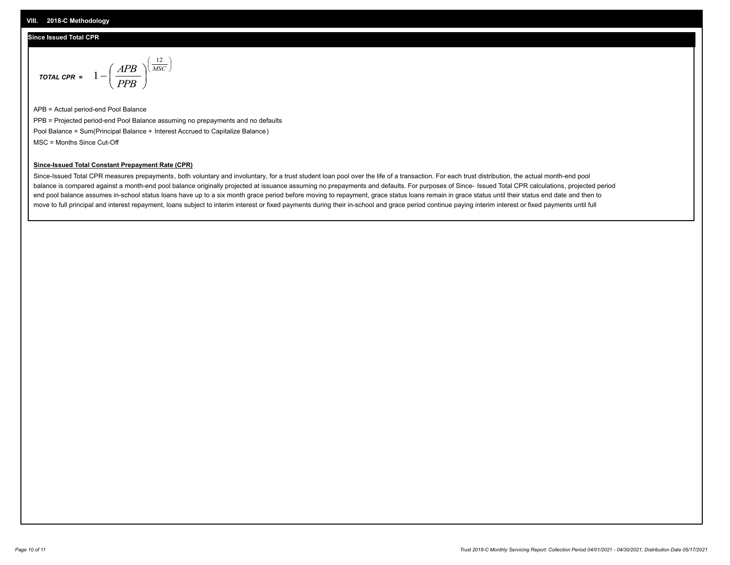#### **Since Issued Total CPR**

$$
\text{total CPR} = 1 - \left(\frac{APB}{PPB}\right)^{\left(\frac{12}{MSC}\right)}
$$

APB = Actual period-end Pool Balance PPB = Projected period-end Pool Balance assuming no prepayments and no defaults Pool Balance = Sum(Principal Balance + Interest Accrued to Capitalize Balance) MSC = Months Since Cut-Off

 $\mathsf{I}$ J λ

#### **Since-Issued Total Constant Prepayment Rate (CPR)**

Since-Issued Total CPR measures prepayments, both voluntary and involuntary, for a trust student loan pool over the life of a transaction. For each trust distribution, the actual month-end pool balance is compared against a month-end pool balance originally projected at issuance assuming no prepayments and defaults. For purposes of Since- Issued Total CPR calculations, projected period end pool balance assumes in-school status loans have up to a six month grace period before moving to repayment, grace status loans remain in grace status until their status end date and then to move to full principal and interest repayment, loans subject to interim interest or fixed payments during their in-school and grace period continue paying interim interest or fixed payments until full